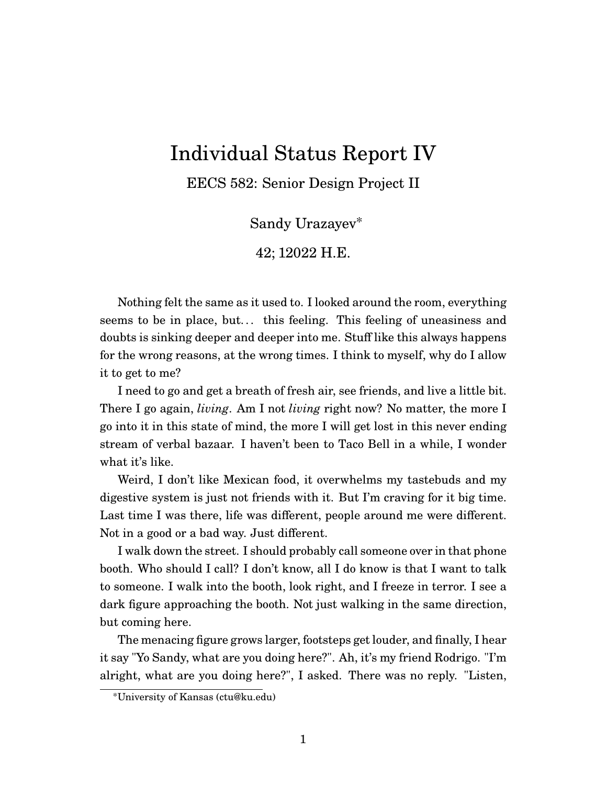## Individual Status Report IV

EECS 582: Senior Design Project II

Sandy Urazayev\*

42; 12022 H.E.

Nothing felt the same as it used to. I looked around the room, everything seems to be in place, but... this feeling. This feeling of uneasiness and doubts is sinking deeper and deeper into me. Stuff like this always happens for the wrong reasons, at the wrong times. I think to myself, why do I allow it to get to me?

I need to go and get a breath of fresh air, see friends, and live a little bit. There I go again, *living*. Am I not *living* right now? No matter, the more I go into it in this state of mind, the more I will get lost in this never ending stream of verbal bazaar. I haven't been to Taco Bell in a while, I wonder what it's like.

Weird, I don't like Mexican food, it overwhelms my tastebuds and my digestive system is just not friends with it. But I'm craving for it big time. Last time I was there, life was different, people around me were different. Not in a good or a bad way. Just different.

I walk down the street. I should probably call someone over in that phone booth. Who should I call? I don't know, all I do know is that I want to talk to someone. I walk into the booth, look right, and I freeze in terror. I see a dark figure approaching the booth. Not just walking in the same direction, but coming here.

The menacing figure grows larger, footsteps get louder, and finally, I hear it say "Yo Sandy, what are you doing here?". Ah, it's my friend Rodrigo. "I'm alright, what are you doing here?", I asked. There was no reply. "Listen,

<sup>\*</sup>University of Kansas (ctu@ku.edu)